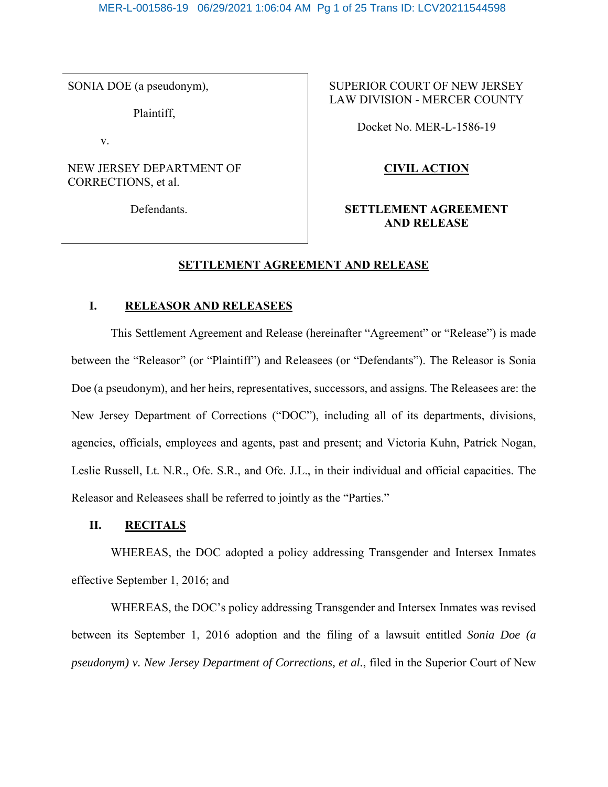SONIA DOE (a pseudonym),

Plaintiff,

v.

## NEW JERSEY DEPARTMENT OF CORRECTIONS, et al.

Defendants.

## SUPERIOR COURT OF NEW JERSEY LAW DIVISION - MERCER COUNTY

Docket No. MER-L-1586-19

# **CIVIL ACTION**

## **SETTLEMENT AGREEMENT AND RELEASE**

## **SETTLEMENT AGREEMENT AND RELEASE**

## **I. RELEASOR AND RELEASEES**

This Settlement Agreement and Release (hereinafter "Agreement" or "Release") is made between the "Releasor" (or "Plaintiff") and Releasees (or "Defendants"). The Releasor is Sonia Doe (a pseudonym), and her heirs, representatives, successors, and assigns. The Releasees are: the New Jersey Department of Corrections ("DOC"), including all of its departments, divisions, agencies, officials, employees and agents, past and present; and Victoria Kuhn, Patrick Nogan, Leslie Russell, Lt. N.R., Ofc. S.R., and Ofc. J.L., in their individual and official capacities. The Releasor and Releasees shall be referred to jointly as the "Parties."

## **II. RECITALS**

WHEREAS, the DOC adopted a policy addressing Transgender and Intersex Inmates effective September 1, 2016; and

WHEREAS, the DOC's policy addressing Transgender and Intersex Inmates was revised between its September 1, 2016 adoption and the filing of a lawsuit entitled *Sonia Doe (a pseudonym) v. New Jersey Department of Corrections, et al.*, filed in the Superior Court of New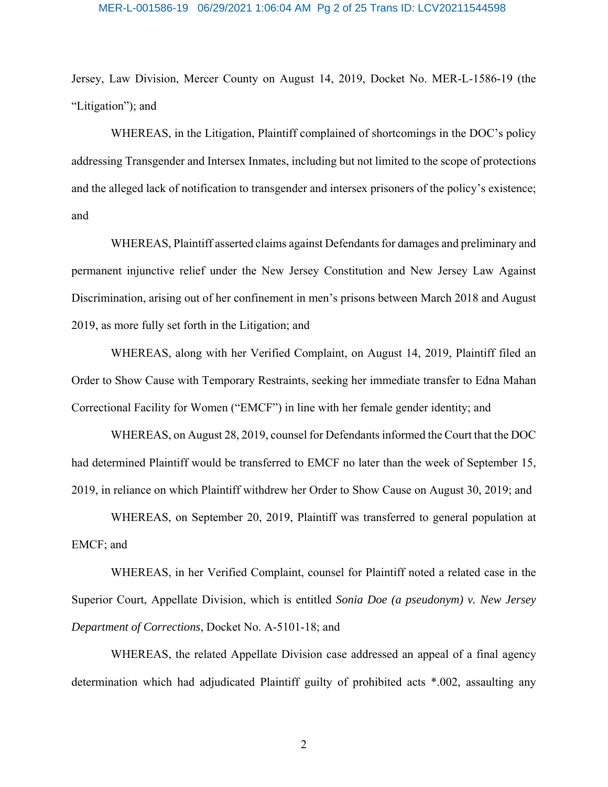# MER-L-001586-19 06/29/2021 1:06:04 AM Pg 2 of 25 Trans ID: LCV20211544598

Jersey, Law Division, Mercer County on August 14, 2019, Docket No. MER-L-1586-19 (the "Litigation"); and

WHEREAS, in the Litigation, Plaintiff complained of shortcomings in the DOC's policy addressing Transgender and Intersex Inmates, including but not limited to the scope of protections and the alleged lack of notification to transgender and intersex prisoners of the policy's existence; and

WHEREAS, Plaintiff asserted claims against Defendants for damages and preliminary and permanent injunctive relief under the New Jersey Constitution and New Jersey Law Against Discrimination, arising out of her confinement in men's prisons between March 2018 and August 2019, as more fully set forth in the Litigation; and

WHEREAS, along with her Verified Complaint, on August 14, 2019, Plaintiff filed an Order to Show Cause with Temporary Restraints, seeking her immediate transfer to Edna Mahan Correctional Facility for Women ("EMCF") in line with her female gender identity; and

WHEREAS, on August 28, 2019, counsel for Defendants informed the Court that the DOC had determined Plaintiff would be transferred to EMCF no later than the week of September 15, 2019, in reliance on which Plaintiff withdrew her Order to Show Cause on August 30, 2019; and

WHEREAS, on September 20, 2019, Plaintiff was transferred to general population at EMCF; and

WHEREAS, in her Verified Complaint, counsel for Plaintiff noted a related case in the Superior Court, Appellate Division, which is entitled *Sonia Doe (a pseudonym) v. New Jersey Department of Corrections*, Docket No. A-5101-18; and

WHEREAS, the related Appellate Division case addressed an appeal of a final agency determination which had adjudicated Plaintiff guilty of prohibited acts \*.002, assaulting any

2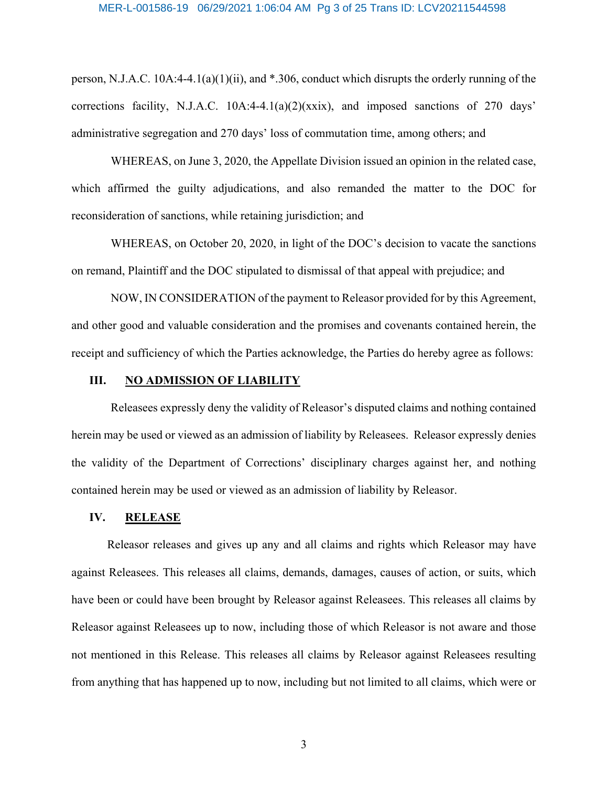#### MER-L-001586-19 06/29/2021 1:06:04 AM Pg 3 of 25 Trans ID: LCV20211544598

person, N.J.A.C. 10A:4-4.1(a)(1)(ii), and \*.306, conduct which disrupts the orderly running of the corrections facility, N.J.A.C. 10A:4-4.1(a)(2)(xxix), and imposed sanctions of 270 days' administrative segregation and 270 days' loss of commutation time, among others; and

WHEREAS, on June 3, 2020, the Appellate Division issued an opinion in the related case, which affirmed the guilty adjudications, and also remanded the matter to the DOC for reconsideration of sanctions, while retaining jurisdiction; and

WHEREAS, on October 20, 2020, in light of the DOC's decision to vacate the sanctions on remand, Plaintiff and the DOC stipulated to dismissal of that appeal with prejudice; and

NOW, IN CONSIDERATION of the payment to Releasor provided for by this Agreement, and other good and valuable consideration and the promises and covenants contained herein, the receipt and sufficiency of which the Parties acknowledge, the Parties do hereby agree as follows:

## **III. NO ADMISSION OF LIABILITY**

Releasees expressly deny the validity of Releasor's disputed claims and nothing contained herein may be used or viewed as an admission of liability by Releasees. Releasor expressly denies the validity of the Department of Corrections' disciplinary charges against her, and nothing contained herein may be used or viewed as an admission of liability by Releasor.

#### **IV. RELEASE**

Releasor releases and gives up any and all claims and rights which Releasor may have against Releasees. This releases all claims, demands, damages, causes of action, or suits, which have been or could have been brought by Releasor against Releasees. This releases all claims by Releasor against Releasees up to now, including those of which Releasor is not aware and those not mentioned in this Release. This releases all claims by Releasor against Releasees resulting from anything that has happened up to now, including but not limited to all claims, which were or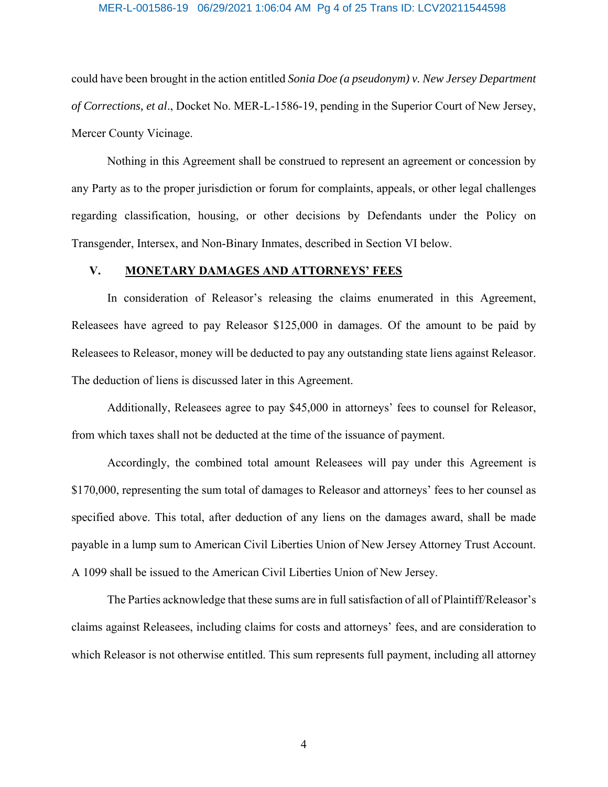#### MER-L-001586-19 06/29/2021 1:06:04 AM Pg 4 of 25 Trans ID: LCV20211544598

could have been brought in the action entitled *Sonia Doe (a pseudonym) v. New Jersey Department of Corrections, et al*., Docket No. MER-L-1586-19, pending in the Superior Court of New Jersey, Mercer County Vicinage.

Nothing in this Agreement shall be construed to represent an agreement or concession by any Party as to the proper jurisdiction or forum for complaints, appeals, or other legal challenges regarding classification, housing, or other decisions by Defendants under the Policy on Transgender, Intersex, and Non-Binary Inmates, described in Section VI below.

#### **V. MONETARY DAMAGES AND ATTORNEYS' FEES**

In consideration of Releasor's releasing the claims enumerated in this Agreement, Releasees have agreed to pay Releasor \$125,000 in damages. Of the amount to be paid by Releasees to Releasor, money will be deducted to pay any outstanding state liens against Releasor. The deduction of liens is discussed later in this Agreement.

Additionally, Releasees agree to pay \$45,000 in attorneys' fees to counsel for Releasor, from which taxes shall not be deducted at the time of the issuance of payment.

Accordingly, the combined total amount Releasees will pay under this Agreement is \$170,000, representing the sum total of damages to Releasor and attorneys' fees to her counsel as specified above. This total, after deduction of any liens on the damages award, shall be made payable in a lump sum to American Civil Liberties Union of New Jersey Attorney Trust Account. A 1099 shall be issued to the American Civil Liberties Union of New Jersey.

The Parties acknowledge that these sums are in full satisfaction of all of Plaintiff/Releasor's claims against Releasees, including claims for costs and attorneys' fees, and are consideration to which Releasor is not otherwise entitled. This sum represents full payment, including all attorney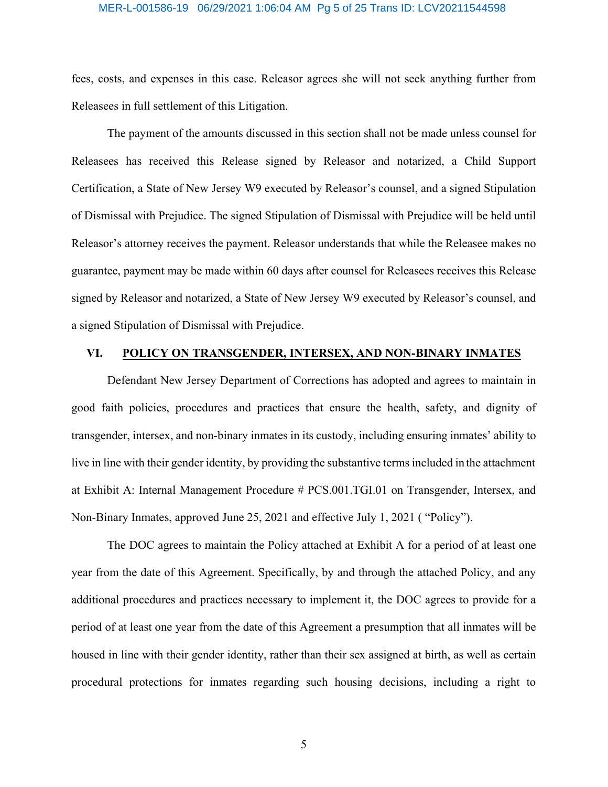#### MER-L-001586-19 06/29/2021 1:06:04 AM Pg 5 of 25 Trans ID: LCV20211544598

fees, costs, and expenses in this case. Releasor agrees she will not seek anything further from Releasees in full settlement of this Litigation.

The payment of the amounts discussed in this section shall not be made unless counsel for Releasees has received this Release signed by Releasor and notarized, a Child Support Certification, a State of New Jersey W9 executed by Releasor's counsel, and a signed Stipulation of Dismissal with Prejudice. The signed Stipulation of Dismissal with Prejudice will be held until Releasor's attorney receives the payment. Releasor understands that while the Releasee makes no guarantee, payment may be made within 60 days after counsel for Releasees receives this Release signed by Releasor and notarized, a State of New Jersey W9 executed by Releasor's counsel, and a signed Stipulation of Dismissal with Prejudice.

## **VI. POLICY ON TRANSGENDER, INTERSEX, AND NON-BINARY INMATES**

Defendant New Jersey Department of Corrections has adopted and agrees to maintain in good faith policies, procedures and practices that ensure the health, safety, and dignity of transgender, intersex, and non-binary inmates in its custody, including ensuring inmates' ability to live in line with their gender identity, by providing the substantive terms included in the attachment at Exhibit A: Internal Management Procedure # PCS.001.TGI.01 on Transgender, Intersex, and Non-Binary Inmates, approved June 25, 2021 and effective July 1, 2021 ( "Policy").

The DOC agrees to maintain the Policy attached at Exhibit A for a period of at least one year from the date of this Agreement. Specifically, by and through the attached Policy, and any additional procedures and practices necessary to implement it, the DOC agrees to provide for a period of at least one year from the date of this Agreement a presumption that all inmates will be housed in line with their gender identity, rather than their sex assigned at birth, as well as certain procedural protections for inmates regarding such housing decisions, including a right to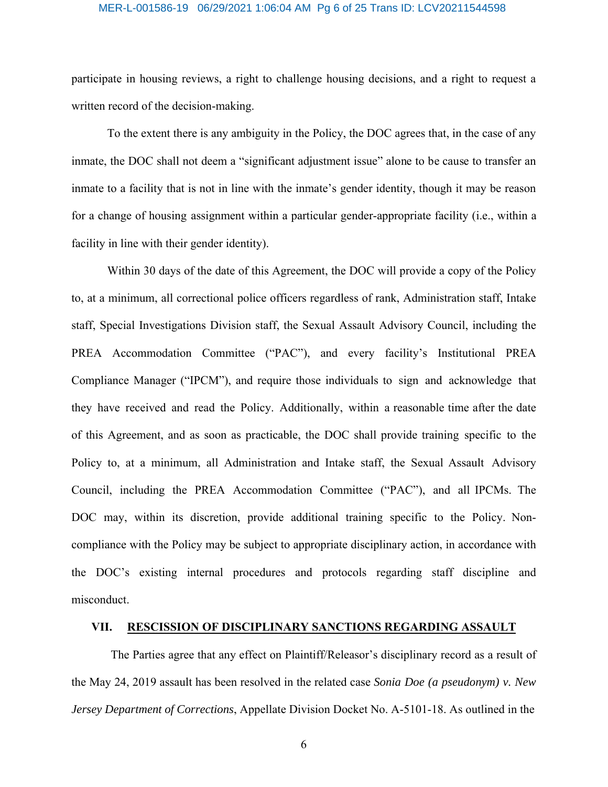#### MER-L-001586-19 06/29/2021 1:06:04 AM Pg 6 of 25 Trans ID: LCV20211544598

participate in housing reviews, a right to challenge housing decisions, and a right to request a written record of the decision-making.

To the extent there is any ambiguity in the Policy, the DOC agrees that, in the case of any inmate, the DOC shall not deem a "significant adjustment issue" alone to be cause to transfer an inmate to a facility that is not in line with the inmate's gender identity, though it may be reason for a change of housing assignment within a particular gender-appropriate facility (i.e., within a facility in line with their gender identity).

Within 30 days of the date of this Agreement, the DOC will provide a copy of the Policy to, at a minimum, all correctional police officers regardless of rank, Administration staff, Intake staff, Special Investigations Division staff, the Sexual Assault Advisory Council, including the PREA Accommodation Committee ("PAC"), and every facility's Institutional PREA Compliance Manager ("IPCM"), and require those individuals to sign and acknowledge that they have received and read the Policy. Additionally, within a reasonable time after the date of this Agreement, and as soon as practicable, the DOC shall provide training specific to the Policy to, at a minimum, all Administration and Intake staff, the Sexual Assault Advisory Council, including the PREA Accommodation Committee ("PAC"), and all IPCMs. The DOC may, within its discretion, provide additional training specific to the Policy. Noncompliance with the Policy may be subject to appropriate disciplinary action, in accordance with the DOC's existing internal procedures and protocols regarding staff discipline and misconduct.

## **VII. RESCISSION OF DISCIPLINARY SANCTIONS REGARDING ASSAULT**

The Parties agree that any effect on Plaintiff/Releasor's disciplinary record as a result of the May 24, 2019 assault has been resolved in the related case *Sonia Doe (a pseudonym) v. New Jersey Department of Corrections*, Appellate Division Docket No. A-5101-18. As outlined in the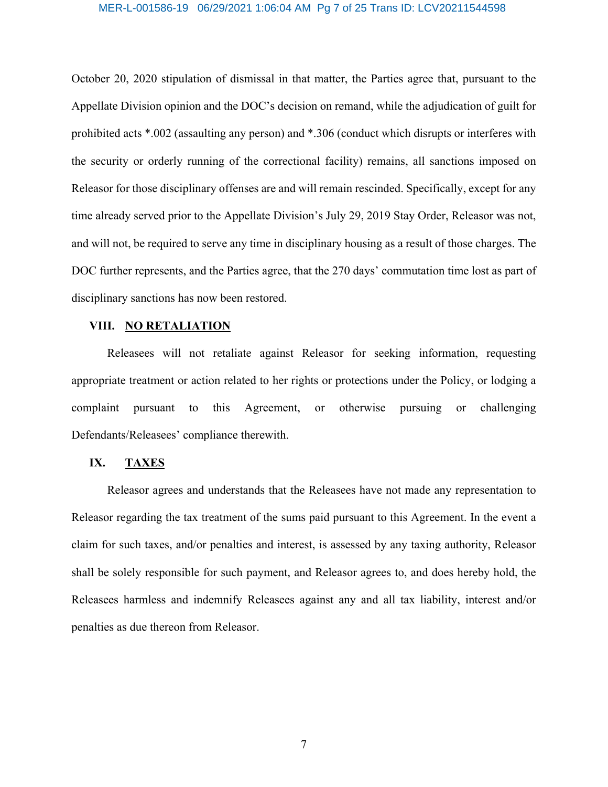#### MER-L-001586-19 06/29/2021 1:06:04 AM Pg 7 of 25 Trans ID: LCV20211544598

October 20, 2020 stipulation of dismissal in that matter, the Parties agree that, pursuant to the Appellate Division opinion and the DOC's decision on remand, while the adjudication of guilt for prohibited acts \*.002 (assaulting any person) and \*.306 (conduct which disrupts or interferes with the security or orderly running of the correctional facility) remains, all sanctions imposed on Releasor for those disciplinary offenses are and will remain rescinded. Specifically, except for any time already served prior to the Appellate Division's July 29, 2019 Stay Order, Releasor was not, and will not, be required to serve any time in disciplinary housing as a result of those charges. The DOC further represents, and the Parties agree, that the 270 days' commutation time lost as part of disciplinary sanctions has now been restored.

## **VIII. NO RETALIATION**

Releasees will not retaliate against Releasor for seeking information, requesting appropriate treatment or action related to her rights or protections under the Policy, or lodging a complaint pursuant to this Agreement, or otherwise pursuing or challenging Defendants/Releasees' compliance therewith.

## **IX. TAXES**

Releasor agrees and understands that the Releasees have not made any representation to Releasor regarding the tax treatment of the sums paid pursuant to this Agreement. In the event a claim for such taxes, and/or penalties and interest, is assessed by any taxing authority, Releasor shall be solely responsible for such payment, and Releasor agrees to, and does hereby hold, the Releasees harmless and indemnify Releasees against any and all tax liability, interest and/or penalties as due thereon from Releasor.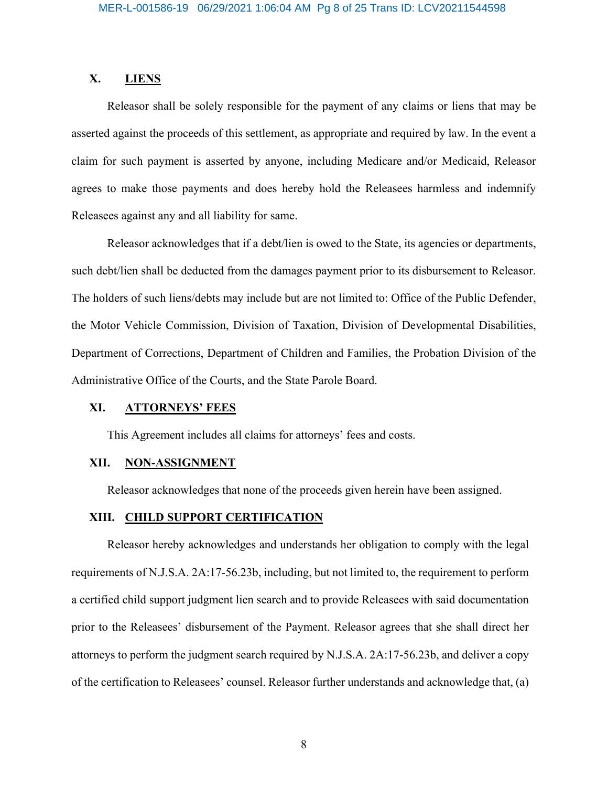## **X. LIENS**

Releasor shall be solely responsible for the payment of any claims or liens that may be asserted against the proceeds of this settlement, as appropriate and required by law. In the event a claim for such payment is asserted by anyone, including Medicare and/or Medicaid, Releasor agrees to make those payments and does hereby hold the Releasees harmless and indemnify Releasees against any and all liability for same.

Releasor acknowledges that if a debt/lien is owed to the State, its agencies or departments, such debt/lien shall be deducted from the damages payment prior to its disbursement to Releasor. The holders of such liens/debts may include but are not limited to: Office of the Public Defender, the Motor Vehicle Commission, Division of Taxation, Division of Developmental Disabilities, Department of Corrections, Department of Children and Families, the Probation Division of the Administrative Office of the Courts, and the State Parole Board.

## **XI. ATTORNEYS' FEES**

This Agreement includes all claims for attorneys' fees and costs.

#### **XII. NON-ASSIGNMENT**

Releasor acknowledges that none of the proceeds given herein have been assigned.

## **XIII. CHILD SUPPORT CERTIFICATION**

Releasor hereby acknowledges and understands her obligation to comply with the legal requirements of N.J.S.A. 2A:17-56.23b, including, but not limited to, the requirement to perform a certified child support judgment lien search and to provide Releasees with said documentation prior to the Releasees' disbursement of the Payment. Releasor agrees that she shall direct her attorneys to perform the judgment search required by N.J.S.A. 2A:17-56.23b, and deliver a copy of the certification to Releasees' counsel. Releasor further understands and acknowledge that, (a)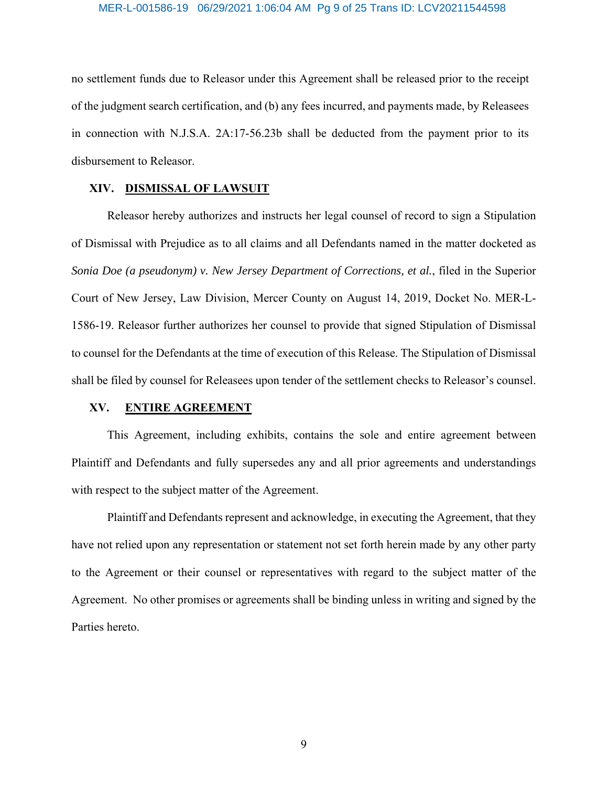#### MER-L-001586-19 06/29/2021 1:06:04 AM Pg 9 of 25 Trans ID: LCV20211544598

no settlement funds due to Releasor under this Agreement shall be released prior to the receipt of the judgment search certification, and (b) any fees incurred, and payments made, by Releasees in connection with N.J.S.A. 2A:17-56.23b shall be deducted from the payment prior to its disbursement to Releasor.

#### **XIV. DISMISSAL OF LAWSUIT**

Releasor hereby authorizes and instructs her legal counsel of record to sign a Stipulation of Dismissal with Prejudice as to all claims and all Defendants named in the matter docketed as *Sonia Doe (a pseudonym) v. New Jersey Department of Corrections, et al.*, filed in the Superior Court of New Jersey, Law Division, Mercer County on August 14, 2019, Docket No. MER-L-1586-19. Releasor further authorizes her counsel to provide that signed Stipulation of Dismissal to counsel for the Defendants at the time of execution of this Release. The Stipulation of Dismissal shall be filed by counsel for Releasees upon tender of the settlement checks to Releasor's counsel.

#### **XV. ENTIRE AGREEMENT**

This Agreement, including exhibits, contains the sole and entire agreement between Plaintiff and Defendants and fully supersedes any and all prior agreements and understandings with respect to the subject matter of the Agreement.

Plaintiff and Defendants represent and acknowledge, in executing the Agreement, that they have not relied upon any representation or statement not set forth herein made by any other party to the Agreement or their counsel or representatives with regard to the subject matter of the Agreement. No other promises or agreements shall be binding unless in writing and signed by the Parties hereto.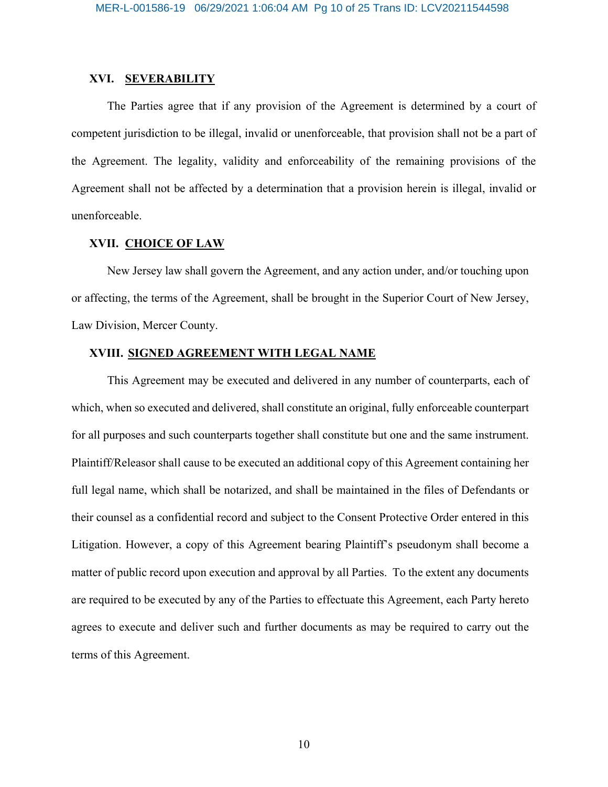## **XVI. SEVERABILITY**

The Parties agree that if any provision of the Agreement is determined by a court of competent jurisdiction to be illegal, invalid or unenforceable, that provision shall not be a part of the Agreement. The legality, validity and enforceability of the remaining provisions of the Agreement shall not be affected by a determination that a provision herein is illegal, invalid or unenforceable.

## **XVII. CHOICE OF LAW**

New Jersey law shall govern the Agreement, and any action under, and/or touching upon or affecting, the terms of the Agreement, shall be brought in the Superior Court of New Jersey, Law Division, Mercer County.

## **XVIII. SIGNED AGREEMENT WITH LEGAL NAME**

This Agreement may be executed and delivered in any number of counterparts, each of which, when so executed and delivered, shall constitute an original, fully enforceable counterpart for all purposes and such counterparts together shall constitute but one and the same instrument. Plaintiff/Releasor shall cause to be executed an additional copy of this Agreement containing her full legal name, which shall be notarized, and shall be maintained in the files of Defendants or their counsel as a confidential record and subject to the Consent Protective Order entered in this Litigation. However, a copy of this Agreement bearing Plaintiff's pseudonym shall become a matter of public record upon execution and approval by all Parties. To the extent any documents are required to be executed by any of the Parties to effectuate this Agreement, each Party hereto agrees to execute and deliver such and further documents as may be required to carry out the terms of this Agreement.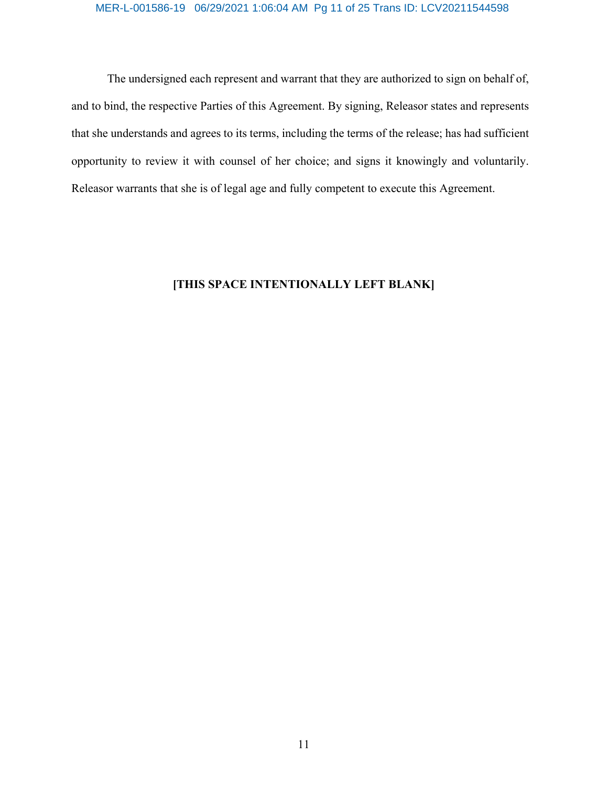# MER-L-001586-19 06/29/2021 1:06:04 AM Pg 11 of 25 Trans ID: LCV20211544598

The undersigned each represent and warrant that they are authorized to sign on behalf of, and to bind, the respective Parties of this Agreement. By signing, Releasor states and represents that she understands and agrees to its terms, including the terms of the release; has had sufficient opportunity to review it with counsel of her choice; and signs it knowingly and voluntarily. Releasor warrants that she is of legal age and fully competent to execute this Agreement.

## **[THIS SPACE INTENTIONALLY LEFT BLANK]**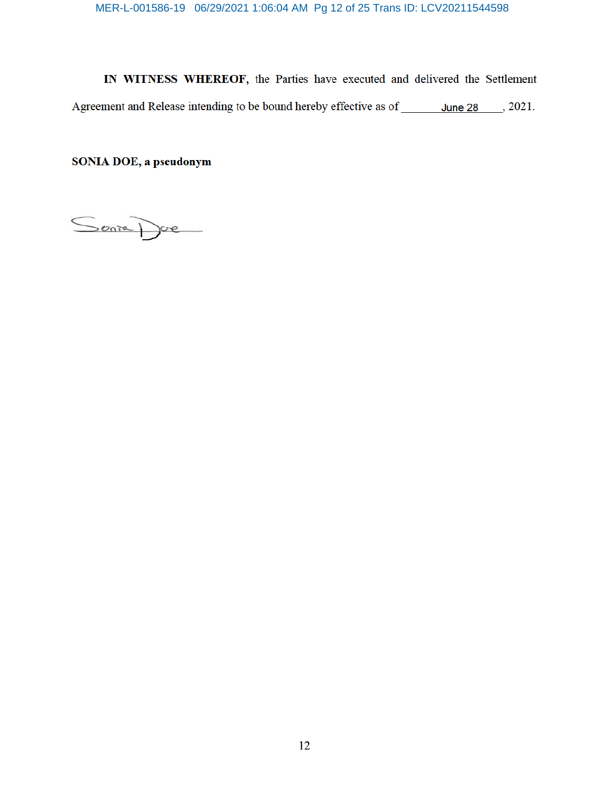MER-L-001586-19 06/29/2021 1:06:04 AM Pg 12 of 25 Trans ID: LCV20211544598

IN WITNESS WHEREOF, the Parties have executed and delivered the Settlement Agreement and Release intending to be bound hereby effective as of \_\_\_\_\_\_\_ June 28 \_\_\_\_, 2021.

SONIA DOE, a pseudonym

Senia Doe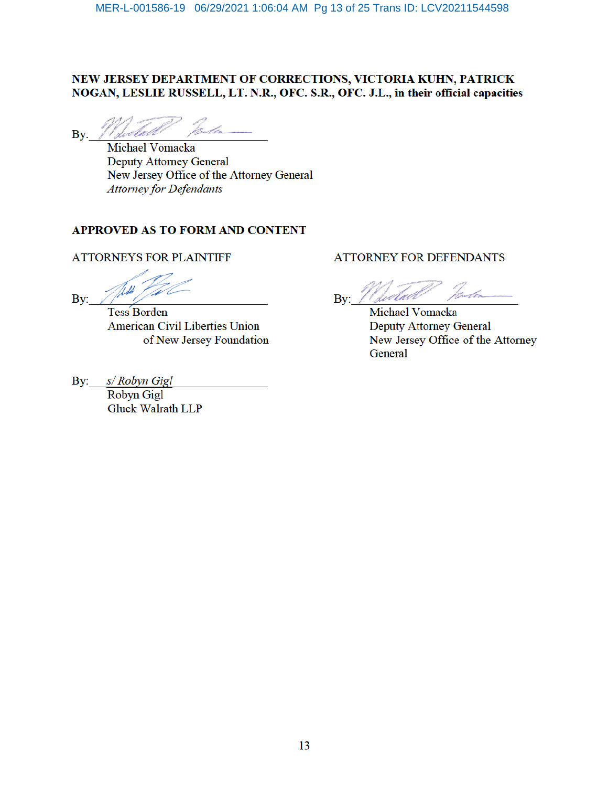# NEW JERSEY DEPARTMENT OF CORRECTIONS, VICTORIA KUHN, PATRICK NOGAN, LESLIE RUSSELL, LT. N.R., OFC. S.R., OFC. J.L., in their official capacities

Bv:

Michael Vomacka **Deputy Attorney General** New Jersey Office of the Attorney General **Attorney for Defendants** 

## APPROVED AS TO FORM AND CONTENT

## **ATTORNEYS FOR PLAINTIFF**

By:

**Tess Borden American Civil Liberties Union** of New Jersey Foundation

s/ Robyn Gigl  $\mathbf{By:}$ Robyn Gigl

**Gluck Walrath LLP** 

## **ATTORNEY FOR DEFENDANTS**

Bv:

Michael Vomacka **Deputy Attorney General** New Jersey Office of the Attorney General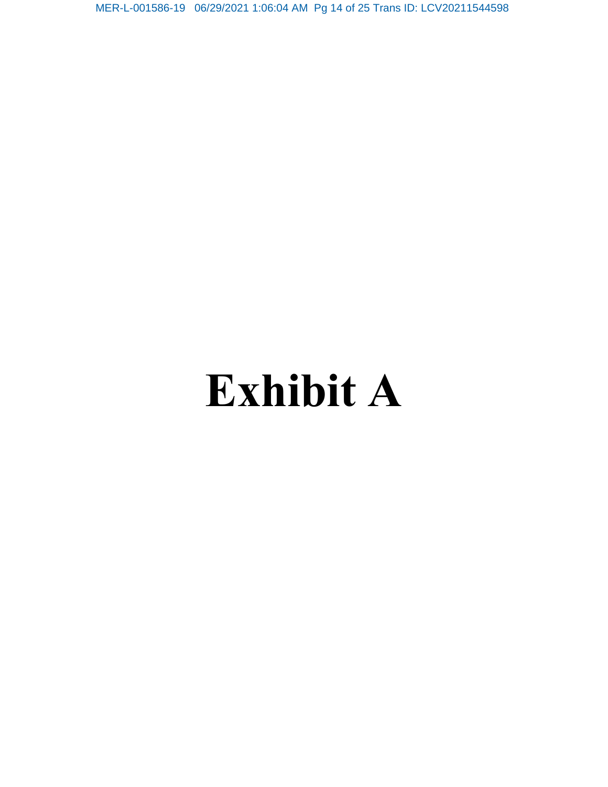MER-L-001586-19 06/29/2021 1:06:04 AM Pg 14 of 25 Trans ID: LCV20211544598

# **Exhibit A**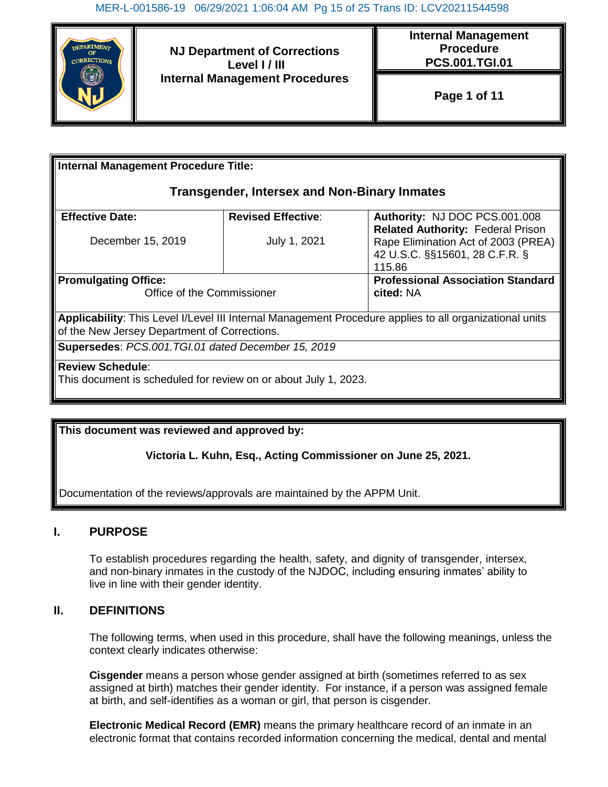

**NJ Department of Corrections Level I / III Internal Management Procedures** **Internal Management Procedure PCS.001.TGI.01**

**Page 1 of 11**

| <b>Internal Management Procedure Title:</b>                                                                                                             |                           |                                                                                                                             |  |
|---------------------------------------------------------------------------------------------------------------------------------------------------------|---------------------------|-----------------------------------------------------------------------------------------------------------------------------|--|
| <b>Transgender, Intersex and Non-Binary Inmates</b>                                                                                                     |                           |                                                                                                                             |  |
| <b>Effective Date:</b>                                                                                                                                  | <b>Revised Effective:</b> | Authority: NJ DOC PCS.001.008                                                                                               |  |
| December 15, 2019                                                                                                                                       | July 1, 2021              | <b>Related Authority: Federal Prison</b><br>Rape Elimination Act of 2003 (PREA)<br>42 U.S.C. §§15601, 28 C.F.R. §<br>115.86 |  |
| <b>Promulgating Office:</b><br>Office of the Commissioner                                                                                               |                           | <b>Professional Association Standard</b><br>cited: NA                                                                       |  |
| Applicability: This Level I/Level III Internal Management Procedure applies to all organizational units<br>of the New Jersey Department of Corrections. |                           |                                                                                                                             |  |
| Supersedes: PCS.001.TGI.01 dated December 15, 2019                                                                                                      |                           |                                                                                                                             |  |
| <b>Review Schedule:</b>                                                                                                                                 |                           |                                                                                                                             |  |
| This document is scheduled for review on or about July 1, 2023.                                                                                         |                           |                                                                                                                             |  |

**This document was reviewed and approved by:**

**Victoria L. Kuhn, Esq., Acting Commissioner on June 25, 2021.**

Documentation of the reviews/approvals are maintained by the APPM Unit.

# **I. PURPOSE**

To establish procedures regarding the health, safety, and dignity of transgender, intersex, and non-binary inmates in the custody of the NJDOC, including ensuring inmates' ability to live in line with their gender identity.

## **II. DEFINITIONS**

The following terms, when used in this procedure, shall have the following meanings, unless the context clearly indicates otherwise:

**Cisgender** means a person whose gender assigned at birth (sometimes referred to as sex assigned at birth) matches their gender identity. For instance, if a person was assigned female at birth, and self-identifies as a woman or girl, that person is cisgender.

**Electronic Medical Record (EMR)** means the primary healthcare record of an inmate in an electronic format that contains recorded information concerning the medical, dental and mental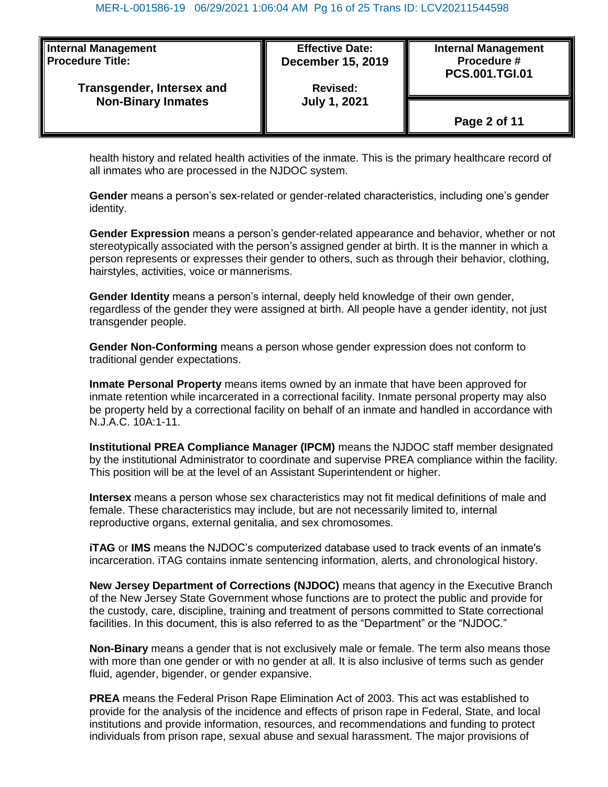| <b>Internal Management</b><br><b>Procedure Title:</b><br><b>Transgender, Intersex and</b><br><b>Non-Binary Inmates</b> | <b>Effective Date:</b><br><b>December 15, 2019</b><br><b>Revised:</b> | <b>Internal Management</b><br>Procedure #<br><b>PCS.001.TGI.01</b> |
|------------------------------------------------------------------------------------------------------------------------|-----------------------------------------------------------------------|--------------------------------------------------------------------|
|                                                                                                                        | <b>July 1, 2021</b>                                                   | Page 2 of 11                                                       |

health history and related health activities of the inmate. This is the primary healthcare record of all inmates who are processed in the NJDOC system.

**Gender** means a person's sex-related or gender-related characteristics, including one's gender identity.

**Gender Expression** means a person's gender-related appearance and behavior, whether or not stereotypically associated with the person's assigned gender at birth. It is the manner in which a person represents or expresses their gender to others, such as through their behavior, clothing, hairstyles, activities, voice or mannerisms.

**Gender Identity** means a person's internal, deeply held knowledge of their own gender, regardless of the gender they were assigned at birth. All people have a gender identity, not just transgender people.

**Gender Non-Conforming** means a person whose gender expression does not conform to traditional gender expectations.

**Inmate Personal Property** means items owned by an inmate that have been approved for inmate retention while incarcerated in a correctional facility. Inmate personal property may also be property held by a correctional facility on behalf of an inmate and handled in accordance with N.J.A.C. 10A:1-11.

**Institutional PREA Compliance Manager (IPCM)** means the NJDOC staff member designated by the institutional Administrator to coordinate and supervise PREA compliance within the facility. This position will be at the level of an Assistant Superintendent or higher.

**Intersex** means a person whose sex characteristics may not fit medical definitions of male and female. These characteristics may include, but are not necessarily limited to, internal reproductive organs, external genitalia, and sex chromosomes.

**iTAG** or **IMS** means the NJDOC's computerized database used to track events of an inmate's incarceration. iTAG contains inmate sentencing information, alerts, and chronological history.

**New Jersey Department of Corrections (NJDOC)** means that agency in the Executive Branch of the New Jersey State Government whose functions are to protect the public and provide for the custody, care, discipline, training and treatment of persons committed to State correctional facilities. In this document, this is also referred to as the "Department" or the "NJDOC."

**Non-Binary** means a gender that is not exclusively male or female. The term also means those with more than one gender or with no gender at all. It is also inclusive of terms such as gender fluid, agender, bigender, or gender expansive.

**PREA** means the Federal Prison Rape Elimination Act of 2003. This act was established to provide for the analysis of the incidence and effects of prison rape in Federal, State, and local institutions and provide information, resources, and recommendations and funding to protect individuals from prison rape, sexual abuse and sexual harassment. The major provisions of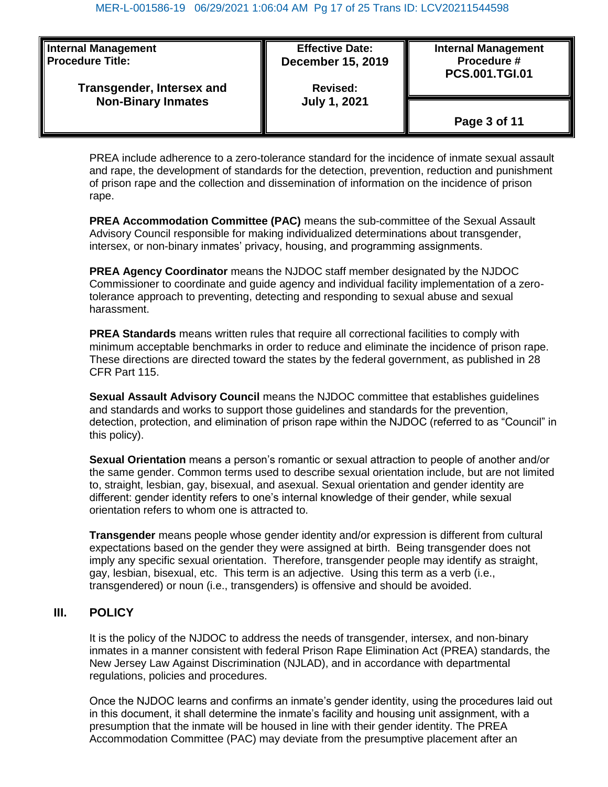| <b>Internal Management</b>       | <b>Effective Date:</b>   | <b>Internal Management</b> |
|----------------------------------|--------------------------|----------------------------|
| <b>Procedure Title:</b>          | <b>December 15, 2019</b> | Procedure #                |
| <b>Transgender, Intersex and</b> | <b>Revised:</b>          | <b>PCS.001.TGI.01</b>      |
| <b>Non-Binary Inmates</b>        | <b>July 1, 2021</b>      | Page 3 of 11               |

PREA include adherence to a zero-tolerance standard for the incidence of inmate sexual assault and rape, the development of standards for the detection, prevention, reduction and punishment of prison rape and the collection and dissemination of information on the incidence of prison rape.

**PREA Accommodation Committee (PAC)** means the sub-committee of the Sexual Assault Advisory Council responsible for making individualized determinations about transgender, intersex, or non-binary inmates' privacy, housing, and programming assignments.

**PREA Agency Coordinator** means the NJDOC staff member designated by the NJDOC Commissioner to coordinate and guide agency and individual facility implementation of a zerotolerance approach to preventing, detecting and responding to sexual abuse and sexual harassment.

**PREA Standards** means written rules that require all correctional facilities to comply with minimum acceptable benchmarks in order to reduce and eliminate the incidence of prison rape. These directions are directed toward the states by the federal government, as published in 28 CFR Part 115.

**Sexual Assault Advisory Council** means the NJDOC committee that establishes guidelines and standards and works to support those guidelines and standards for the prevention, detection, protection, and elimination of prison rape within the NJDOC (referred to as "Council" in this policy).

**Sexual Orientation** means a person's romantic or sexual attraction to people of another and/or the same gender. Common terms used to describe sexual orientation include, but are not limited to, straight, lesbian, gay, bisexual, and asexual. Sexual orientation and gender identity are different: gender identity refers to one's internal knowledge of their gender, while sexual orientation refers to whom one is attracted to.

**Transgender** means people whose gender identity and/or expression is different from cultural expectations based on the gender they were assigned at birth. Being transgender does not imply any specific sexual orientation. Therefore, transgender people may identify as straight, gay, lesbian, bisexual, etc. This term is an adjective. Using this term as a verb (i.e., transgendered) or noun (i.e., transgenders) is offensive and should be avoided.

## **III. POLICY**

It is the policy of the NJDOC to address the needs of transgender, intersex, and non-binary inmates in a manner consistent with federal Prison Rape Elimination Act (PREA) standards, the New Jersey Law Against Discrimination (NJLAD), and in accordance with departmental regulations, policies and procedures.

Once the NJDOC learns and confirms an inmate's gender identity, using the procedures laid out in this document, it shall determine the inmate's facility and housing unit assignment, with a presumption that the inmate will be housed in line with their gender identity. The PREA Accommodation Committee (PAC) may deviate from the presumptive placement after an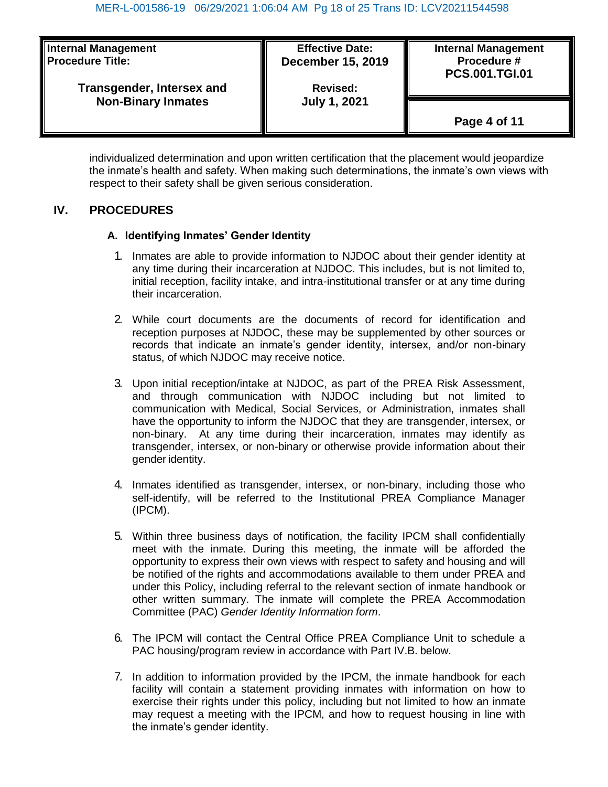| <b>Internal Management</b> | <b>Effective Date:</b>   | <b>Internal Management</b> |
|----------------------------|--------------------------|----------------------------|
| <b>Procedure Title:</b>    | <b>December 15, 2019</b> | Procedure #                |
| Transgender, Intersex and  | <b>Revised:</b>          | <b>PCS.001.TGI.01</b>      |
| <b>Non-Binary Inmates</b>  | <b>July 1, 2021</b>      | Page 4 of 11               |

individualized determination and upon written certification that the placement would jeopardize the inmate's health and safety. When making such determinations, the inmate's own views with respect to their safety shall be given serious consideration.

# **IV. PROCEDURES**

## **A. Identifying Inmates' Gender Identity**

- 1. Inmates are able to provide information to NJDOC about their gender identity at any time during their incarceration at NJDOC. This includes, but is not limited to, initial reception, facility intake, and intra-institutional transfer or at any time during their incarceration.
- 2. While court documents are the documents of record for identification and reception purposes at NJDOC, these may be supplemented by other sources or records that indicate an inmate's gender identity, intersex, and/or non-binary status, of which NJDOC may receive notice.
- 3. Upon initial reception/intake at NJDOC, as part of the PREA Risk Assessment, and through communication with NJDOC including but not limited to communication with Medical, Social Services, or Administration, inmates shall have the opportunity to inform the NJDOC that they are transgender, intersex, or non-binary. At any time during their incarceration, inmates may identify as transgender, intersex, or non-binary or otherwise provide information about their gender identity.
- 4. Inmates identified as transgender, intersex, or non-binary, including those who self-identify, will be referred to the Institutional PREA Compliance Manager (IPCM).
- 5. Within three business days of notification, the facility IPCM shall confidentially meet with the inmate. During this meeting, the inmate will be afforded the opportunity to express their own views with respect to safety and housing and will be notified of the rights and accommodations available to them under PREA and under this Policy, including referral to the relevant section of inmate handbook or other written summary. The inmate will complete the PREA Accommodation Committee (PAC) *Gender Identity Information form*.
- 6. The IPCM will contact the Central Office PREA Compliance Unit to schedule a PAC housing/program review in accordance with Part IV.B. below.
- 7. In addition to information provided by the IPCM, the inmate handbook for each facility will contain a statement providing inmates with information on how to exercise their rights under this policy, including but not limited to how an inmate may request a meeting with the IPCM, and how to request housing in line with the inmate's gender identity.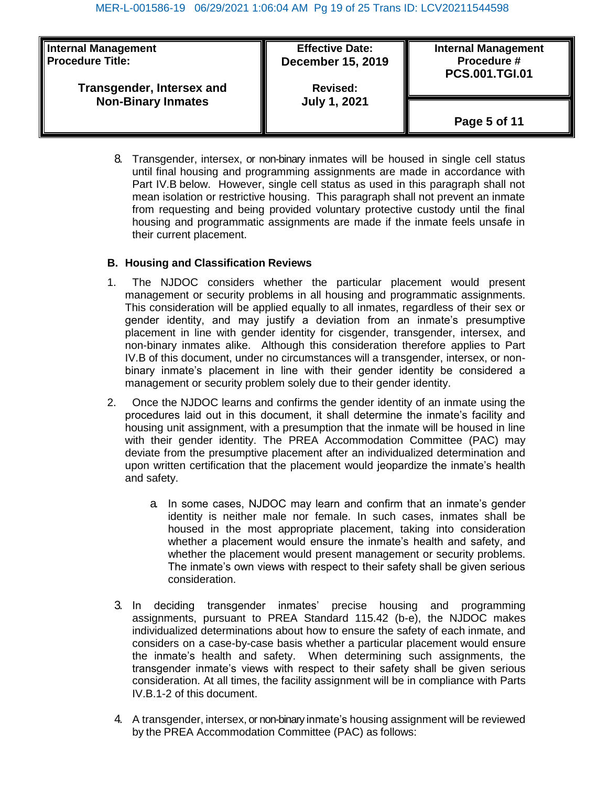| <b>Internal Management</b> | <b>Effective Date:</b>   | <b>Internal Management</b> |
|----------------------------|--------------------------|----------------------------|
| <b>Procedure Title:</b>    | <b>December 15, 2019</b> | Procedure #                |
| Transgender, Intersex and  | <b>Revised:</b>          | <b>PCS.001.TGI.01</b>      |
| <b>Non-Binary Inmates</b>  | <b>July 1, 2021</b>      | Page 5 of 11               |

8. Transgender, intersex, or non-binary inmates will be housed in single cell status until final housing and programming assignments are made in accordance with Part IV.B below. However, single cell status as used in this paragraph shall not mean isolation or restrictive housing. This paragraph shall not prevent an inmate from requesting and being provided voluntary protective custody until the final housing and programmatic assignments are made if the inmate feels unsafe in their current placement.

## **B. Housing and Classification Reviews**

- 1. The NJDOC considers whether the particular placement would present management or security problems in all housing and programmatic assignments. This consideration will be applied equally to all inmates, regardless of their sex or gender identity, and may justify a deviation from an inmate's presumptive placement in line with gender identity for cisgender, transgender, intersex, and non-binary inmates alike. Although this consideration therefore applies to Part IV.B of this document, under no circumstances will a transgender, intersex, or nonbinary inmate's placement in line with their gender identity be considered a management or security problem solely due to their gender identity.
- 2. Once the NJDOC learns and confirms the gender identity of an inmate using the procedures laid out in this document, it shall determine the inmate's facility and housing unit assignment, with a presumption that the inmate will be housed in line with their gender identity. The PREA Accommodation Committee (PAC) may deviate from the presumptive placement after an individualized determination and upon written certification that the placement would jeopardize the inmate's health and safety.
	- a. In some cases, NJDOC may learn and confirm that an inmate's gender identity is neither male nor female. In such cases, inmates shall be housed in the most appropriate placement, taking into consideration whether a placement would ensure the inmate's health and safety, and whether the placement would present management or security problems. The inmate's own views with respect to their safety shall be given serious consideration.
	- 3. In deciding transgender inmates' precise housing and programming assignments, pursuant to PREA Standard 115.42 (b-e), the NJDOC makes individualized determinations about how to ensure the safety of each inmate, and considers on a case-by-case basis whether a particular placement would ensure the inmate's health and safety. When determining such assignments, the transgender inmate's views with respect to their safety shall be given serious consideration. At all times, the facility assignment will be in compliance with Parts IV.B.1-2 of this document.
	- 4. A transgender, intersex, or non-binary inmate's housing assignment will be reviewed by the PREA Accommodation Committee (PAC) as follows: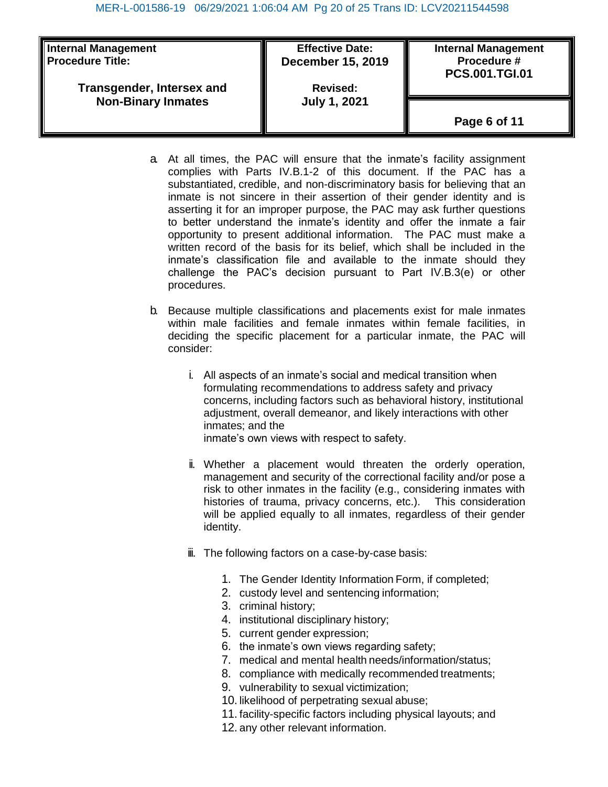| <b>Internal Management</b> | <b>Effective Date:</b>   | <b>Internal Management</b> |
|----------------------------|--------------------------|----------------------------|
| <b>Procedure Title:</b>    | <b>December 15, 2019</b> | Procedure #                |
| Transgender, Intersex and  | <b>Revised:</b>          | <b>PCS.001.TGI.01</b>      |
| <b>Non-Binary Inmates</b>  | <b>July 1, 2021</b>      | Page 6 of 11               |

- a. At all times, the PAC will ensure that the inmate's facility assignment complies with Parts IV.B.1-2 of this document. If the PAC has a substantiated, credible, and non-discriminatory basis for believing that an inmate is not sincere in their assertion of their gender identity and is asserting it for an improper purpose, the PAC may ask further questions to better understand the inmate's identity and offer the inmate a fair opportunity to present additional information. The PAC must make a written record of the basis for its belief, which shall be included in the inmate's classification file and available to the inmate should they challenge the PAC's decision pursuant to Part IV.B.3(e) or other procedures.
- b. Because multiple classifications and placements exist for male inmates within male facilities and female inmates within female facilities, in deciding the specific placement for a particular inmate, the PAC will consider:
	- i. All aspects of an inmate's social and medical transition when formulating recommendations to address safety and privacy concerns, including factors such as behavioral history, institutional adjustment, overall demeanor, and likely interactions with other inmates; and the inmate's own views with respect to safety.
	- ii. Whether a placement would threaten the orderly operation, management and security of the correctional facility and/or pose a risk to other inmates in the facility (e.g., considering inmates with histories of trauma, privacy concerns, etc.). This consideration will be applied equally to all inmates, regardless of their gender identity.
	- iii. The following factors on a case-by-case basis:
		- 1. The Gender Identity Information Form, if completed;
		- 2. custody level and sentencing information;
		- 3. criminal history;
		- 4. institutional disciplinary history;
		- 5. current gender expression;
		- 6. the inmate's own views regarding safety;
		- 7. medical and mental health needs/information/status;
		- 8. compliance with medically recommended treatments;
		- 9. vulnerability to sexual victimization;
		- 10. likelihood of perpetrating sexual abuse;
		- 11. facility-specific factors including physical layouts; and
		- 12. any other relevant information.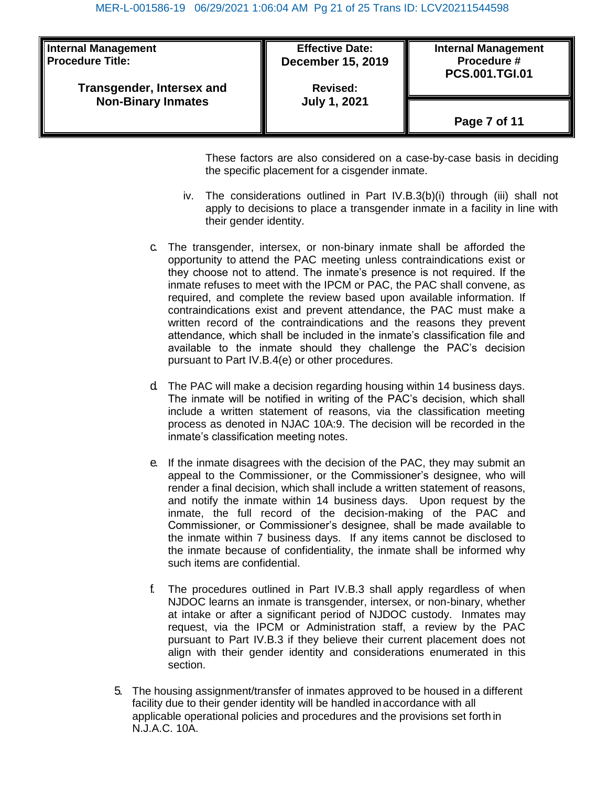| <b>Internal Management</b><br><b>Procedure Title:</b>  | <b>Effective Date:</b><br><b>December 15, 2019</b> | <b>Internal Management</b><br>Procedure #<br><b>PCS.001.TGI.01</b> |
|--------------------------------------------------------|----------------------------------------------------|--------------------------------------------------------------------|
| Transgender, Intersex and<br><b>Non-Binary Inmates</b> | <b>Revised:</b><br><b>July 1, 2021</b>             |                                                                    |
|                                                        |                                                    |                                                                    |
|                                                        |                                                    | Page 7 of 11                                                       |

These factors are also considered on a case-by-case basis in deciding the specific placement for a cisgender inmate.

- iv. The considerations outlined in Part IV.B.3(b)(i) through (iii) shall not apply to decisions to place a transgender inmate in a facility in line with their gender identity.
- c. The transgender, intersex, or non-binary inmate shall be afforded the opportunity to attend the PAC meeting unless contraindications exist or they choose not to attend. The inmate's presence is not required. If the inmate refuses to meet with the IPCM or PAC, the PAC shall convene, as required, and complete the review based upon available information. If contraindications exist and prevent attendance, the PAC must make a written record of the contraindications and the reasons they prevent attendance, which shall be included in the inmate's classification file and available to the inmate should they challenge the PAC's decision pursuant to Part IV.B.4(e) or other procedures.
- d. The PAC will make a decision regarding housing within 14 business days. The inmate will be notified in writing of the PAC's decision, which shall include a written statement of reasons, via the classification meeting process as denoted in NJAC 10A:9. The decision will be recorded in the inmate's classification meeting notes.
- e. If the inmate disagrees with the decision of the PAC, they may submit an appeal to the Commissioner, or the Commissioner's designee, who will render a final decision, which shall include a written statement of reasons, and notify the inmate within 14 business days. Upon request by the inmate, the full record of the decision-making of the PAC and Commissioner, or Commissioner's designee, shall be made available to the inmate within 7 business days. If any items cannot be disclosed to the inmate because of confidentiality, the inmate shall be informed why such items are confidential.
- f. The procedures outlined in Part IV.B.3 shall apply regardless of when NJDOC learns an inmate is transgender, intersex, or non-binary, whether at intake or after a significant period of NJDOC custody. Inmates may request, via the IPCM or Administration staff, a review by the PAC pursuant to Part IV.B.3 if they believe their current placement does not align with their gender identity and considerations enumerated in this section.
- 5. The housing assignment/transfer of inmates approved to be housed in a different facility due to their gender identity will be handled inaccordance with all applicable operational policies and procedures and the provisions set forth in N.J.A.C. 10A.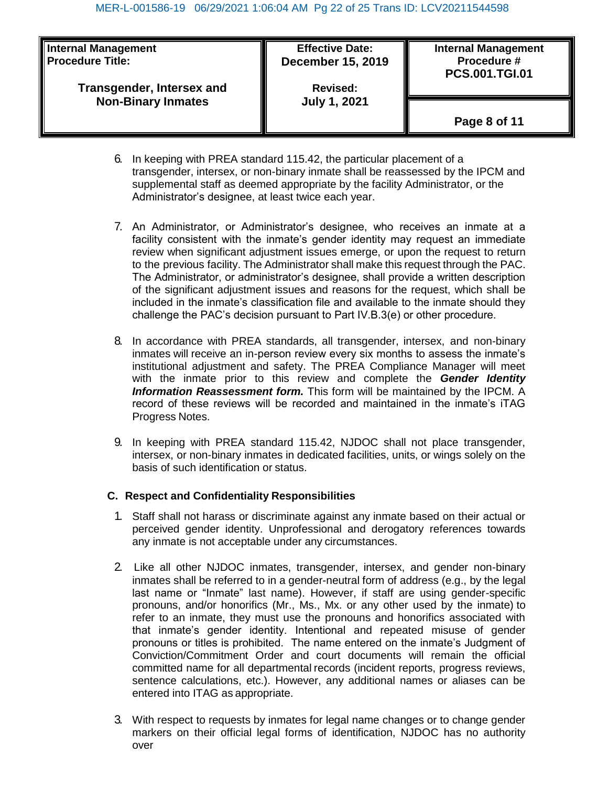| <b>Internal Management</b>       | <b>Effective Date:</b>   | <b>Internal Management</b> |
|----------------------------------|--------------------------|----------------------------|
| <b>Procedure Title:</b>          | <b>December 15, 2019</b> | Procedure #                |
| <b>Transgender, Intersex and</b> | <b>Revised:</b>          | <b>PCS.001.TGI.01</b>      |
| <b>Non-Binary Inmates</b>        | <b>July 1, 2021</b>      | Page 8 of 11               |

- 6. In keeping with PREA standard 115.42, the particular placement of a transgender, intersex, or non-binary inmate shall be reassessed by the IPCM and supplemental staff as deemed appropriate by the facility Administrator, or the Administrator's designee, at least twice each year.
- 7. An Administrator, or Administrator's designee, who receives an inmate at a facility consistent with the inmate's gender identity may request an immediate review when significant adjustment issues emerge, or upon the request to return to the previous facility. The Administrator shall make this request through the PAC. The Administrator, or administrator's designee, shall provide a written description of the significant adjustment issues and reasons for the request, which shall be included in the inmate's classification file and available to the inmate should they challenge the PAC's decision pursuant to Part IV.B.3(e) or other procedure.
- 8. In accordance with PREA standards, all transgender, intersex, and non-binary inmates will receive an in-person review every six months to assess the inmate's institutional adjustment and safety. The PREA Compliance Manager will meet with the inmate prior to this review and complete the *Gender Identity Information Reassessment form.* This form will be maintained by the IPCM. A record of these reviews will be recorded and maintained in the inmate's iTAG Progress Notes.
- 9. In keeping with PREA standard 115.42, NJDOC shall not place transgender, intersex, or non-binary inmates in dedicated facilities, units, or wings solely on the basis of such identification or status.

## **C. Respect and Confidentiality Responsibilities**

- 1. Staff shall not harass or discriminate against any inmate based on their actual or perceived gender identity. Unprofessional and derogatory references towards any inmate is not acceptable under any circumstances.
- 2. Like all other NJDOC inmates, transgender, intersex, and gender non-binary inmates shall be referred to in a gender-neutral form of address (e.g., by the legal last name or "Inmate" last name). However, if staff are using gender-specific pronouns, and/or honorifics (Mr., Ms., Mx. or any other used by the inmate) to refer to an inmate, they must use the pronouns and honorifics associated with that inmate's gender identity. Intentional and repeated misuse of gender pronouns or titles is prohibited. The name entered on the inmate's Judgment of Conviction/Commitment Order and court documents will remain the official committed name for all departmental records (incident reports, progress reviews, sentence calculations, etc.). However, any additional names or aliases can be entered into ITAG as appropriate.
- 3. With respect to requests by inmates for legal name changes or to change gender markers on their official legal forms of identification, NJDOC has no authority over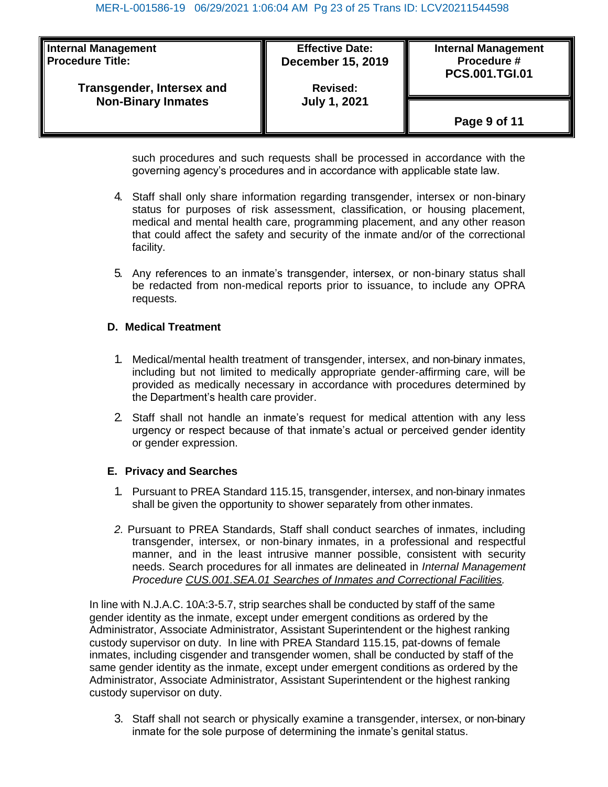| <b>Internal Management</b><br><b>Procedure Title:</b>  | <b>Effective Date:</b><br><b>December 15, 2019</b> | <b>Internal Management</b><br>Procedure #<br><b>PCS.001.TGI.01</b> |
|--------------------------------------------------------|----------------------------------------------------|--------------------------------------------------------------------|
| Transgender, Intersex and<br><b>Non-Binary Inmates</b> | <b>Revised:</b><br><b>July 1, 2021</b>             | Page 9 of 11                                                       |

such procedures and such requests shall be processed in accordance with the governing agency's procedures and in accordance with applicable state law.

- 4. Staff shall only share information regarding transgender, intersex or non-binary status for purposes of risk assessment, classification, or housing placement, medical and mental health care, programming placement, and any other reason that could affect the safety and security of the inmate and/or of the correctional facility.
- 5. Any references to an inmate's transgender, intersex, or non-binary status shall be redacted from non-medical reports prior to issuance, to include any OPRA requests.

## **D. Medical Treatment**

- 1. Medical/mental health treatment of transgender, intersex, and non-binary inmates, including but not limited to medically appropriate gender-affirming care, will be provided as medically necessary in accordance with procedures determined by the Department's health care provider.
- 2. Staff shall not handle an inmate's request for medical attention with any less urgency or respect because of that inmate's actual or perceived gender identity or gender expression.

## **E. Privacy and Searches**

- 1. Pursuant to PREA Standard 115.15, transgender, intersex, and non-binary inmates shall be given the opportunity to shower separately from other inmates.
- *2.* Pursuant to PREA Standards, Staff shall conduct searches of inmates, including transgender, intersex, or non-binary inmates, in a professional and respectful manner, and in the least intrusive manner possible, consistent with security needs. Search procedures for all inmates are delineated in *Internal Management Procedure CUS.001.SEA.01 Searches of Inmates and Correctional Facilities.*

In line with N.J.A.C. 10A:3-5.7, strip searches shall be conducted by staff of the same gender identity as the inmate, except under emergent conditions as ordered by the Administrator, Associate Administrator, Assistant Superintendent or the highest ranking custody supervisor on duty. In line with PREA Standard 115.15, pat-downs of female inmates, including cisgender and transgender women, shall be conducted by staff of the same gender identity as the inmate, except under emergent conditions as ordered by the Administrator, Associate Administrator, Assistant Superintendent or the highest ranking custody supervisor on duty.

3. Staff shall not search or physically examine a transgender, intersex, or non-binary inmate for the sole purpose of determining the inmate's genital status.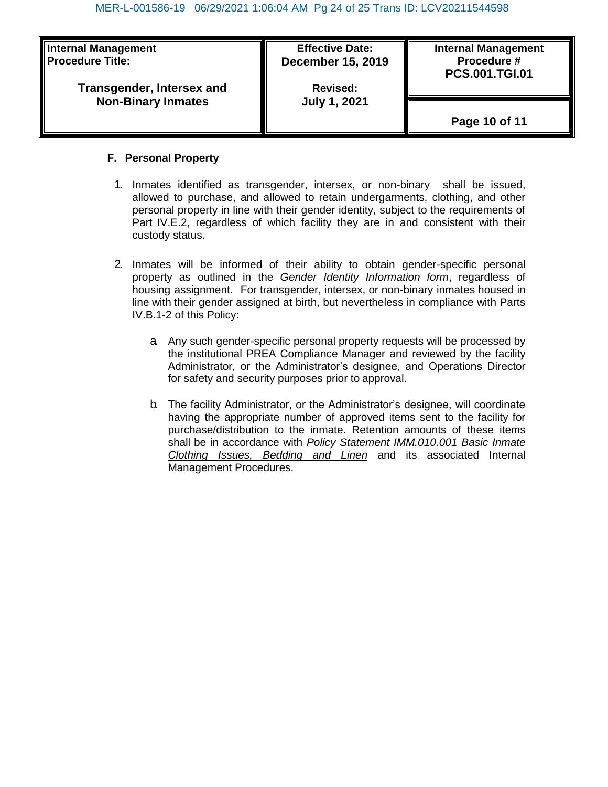| <b>Internal Management</b> | <b>Effective Date:</b>   | <b>Internal Management</b> |
|----------------------------|--------------------------|----------------------------|
| <b>Procedure Title:</b>    | <b>December 15, 2019</b> | Procedure #                |
| Transgender, Intersex and  | <b>Revised:</b>          | <b>PCS.001.TGI.01</b>      |
| <b>Non-Binary Inmates</b>  | <b>July 1, 2021</b>      | Page 10 of 11              |

## **F. Personal Property**

- 1. Inmates identified as transgender, intersex, or non-binary shall be issued, allowed to purchase, and allowed to retain undergarments, clothing, and other personal property in line with their gender identity, subject to the requirements of Part IV.E.2, regardless of which facility they are in and consistent with their custody status.
- 2. Inmates will be informed of their ability to obtain gender-specific personal property as outlined in the *Gender Identity Information form*, regardless of housing assignment. For transgender, intersex, or non-binary inmates housed in line with their gender assigned at birth, but nevertheless in compliance with Parts IV.B.1-2 of this Policy:
	- a. Any such gender-specific personal property requests will be processed by the institutional PREA Compliance Manager and reviewed by the facility Administrator, or the Administrator's designee, and Operations Director for safety and security purposes prior to approval.
	- b. The facility Administrator, or the Administrator's designee, will coordinate having the appropriate number of approved items sent to the facility for purchase/distribution to the inmate. Retention amounts of these items shall be in accordance with *Policy Statement IMM.010.001 Basic Inmate Clothing Issues, Bedding and Linen* and its associated Internal Management Procedures.